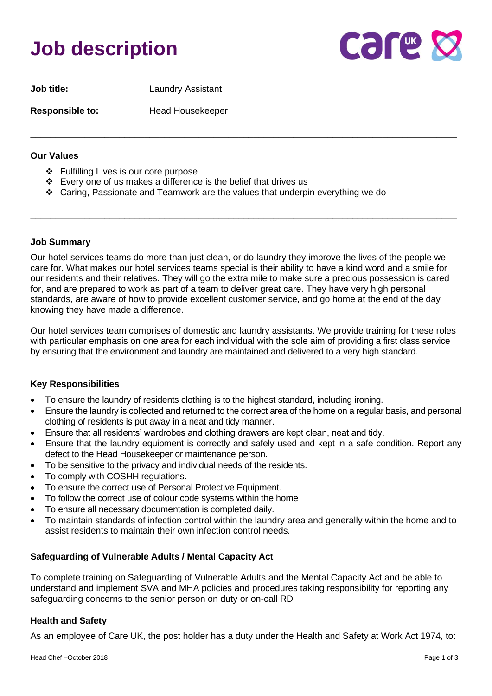# **Job description**



| <b>Job title:</b>      | <b>Laundry Assistant</b> |
|------------------------|--------------------------|
| <b>Responsible to:</b> | <b>Head Housekeeper</b>  |

#### **Our Values**

- ❖ Fulfilling Lives is our core purpose
- ❖ Every one of us makes a difference is the belief that drives us
- ❖ Caring, Passionate and Teamwork are the values that underpin everything we do

#### **Job Summary**

Our hotel services teams do more than just clean, or do laundry they improve the lives of the people we care for. What makes our hotel services teams special is their ability to have a kind word and a smile for our residents and their relatives. They will go the extra mile to make sure a precious possession is cared for, and are prepared to work as part of a team to deliver great care. They have very high personal standards, are aware of how to provide excellent customer service, and go home at the end of the day knowing they have made a difference.

\_\_\_\_\_\_\_\_\_\_\_\_\_\_\_\_\_\_\_\_\_\_\_\_\_\_\_\_\_\_\_\_\_\_\_\_\_\_\_\_\_\_\_\_\_\_\_\_\_\_\_\_\_\_\_\_\_\_\_\_\_\_\_\_\_\_\_\_\_\_\_\_\_\_\_\_\_\_\_\_\_\_\_\_\_\_

\_\_\_\_\_\_\_\_\_\_\_\_\_\_\_\_\_\_\_\_\_\_\_\_\_\_\_\_\_\_\_\_\_\_\_\_\_\_\_\_\_\_\_\_\_\_\_\_\_\_\_\_\_\_\_\_\_\_\_\_\_\_\_\_\_\_\_\_\_\_\_\_\_\_\_\_\_\_\_\_\_\_\_\_\_\_

Our hotel services team comprises of domestic and laundry assistants. We provide training for these roles with particular emphasis on one area for each individual with the sole aim of providing a first class service by ensuring that the environment and laundry are maintained and delivered to a very high standard.

## **Key Responsibilities**

- To ensure the laundry of residents clothing is to the highest standard, including ironing.
- Ensure the laundry is collected and returned to the correct area of the home on a regular basis, and personal clothing of residents is put away in a neat and tidy manner.
- Ensure that all residents' wardrobes and clothing drawers are kept clean, neat and tidy.
- Ensure that the laundry equipment is correctly and safely used and kept in a safe condition. Report any defect to the Head Housekeeper or maintenance person.
- To be sensitive to the privacy and individual needs of the residents.
- To comply with COSHH regulations.
- To ensure the correct use of Personal Protective Equipment.
- To follow the correct use of colour code systems within the home
- To ensure all necessary documentation is completed daily.
- To maintain standards of infection control within the laundry area and generally within the home and to assist residents to maintain their own infection control needs.

## **Safeguarding of Vulnerable Adults / Mental Capacity Act**

To complete training on Safeguarding of Vulnerable Adults and the Mental Capacity Act and be able to understand and implement SVA and MHA policies and procedures taking responsibility for reporting any safeguarding concerns to the senior person on duty or on-call RD

## **Health and Safety**

As an employee of Care UK, the post holder has a duty under the Health and Safety at Work Act 1974, to: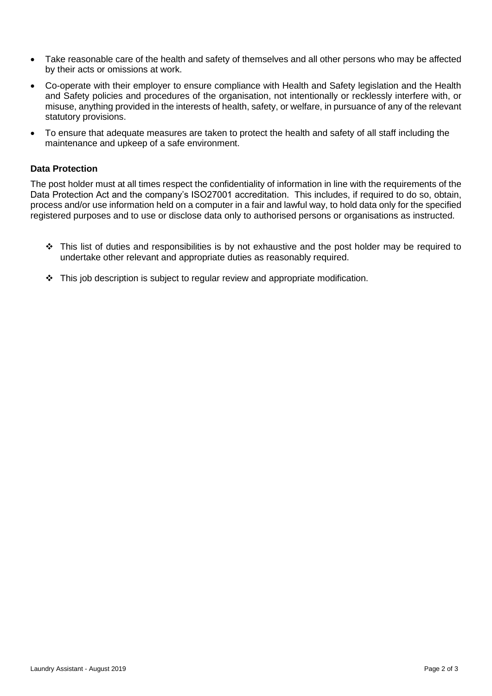- Take reasonable care of the health and safety of themselves and all other persons who may be affected by their acts or omissions at work.
- Co-operate with their employer to ensure compliance with Health and Safety legislation and the Health and Safety policies and procedures of the organisation, not intentionally or recklessly interfere with, or misuse, anything provided in the interests of health, safety, or welfare, in pursuance of any of the relevant statutory provisions.
- To ensure that adequate measures are taken to protect the health and safety of all staff including the maintenance and upkeep of a safe environment.

## **Data Protection**

The post holder must at all times respect the confidentiality of information in line with the requirements of the Data Protection Act and the company's ISO27001 accreditation. This includes, if required to do so, obtain, process and/or use information held on a computer in a fair and lawful way, to hold data only for the specified registered purposes and to use or disclose data only to authorised persons or organisations as instructed.

- ❖ This list of duties and responsibilities is by not exhaustive and the post holder may be required to undertake other relevant and appropriate duties as reasonably required.
- ❖ This job description is subject to regular review and appropriate modification.